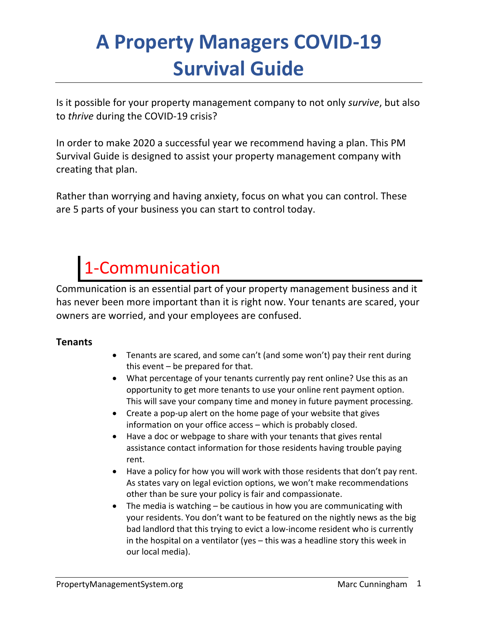# **A Property Managers COVID-19 Survival Guide**

Is it possible for your property management company to not only *survive*, but also to *thrive* during the COVID-19 crisis?

In order to make 2020 a successful year we recommend having a plan. This PM Survival Guide is designed to assist your property management company with creating that plan.

Rather than worrying and having anxiety, focus on what you can control. These are 5 parts of your business you can start to control today.

# 1-Communication

Communication is an essential part of your property management business and it has never been more important than it is right now. Your tenants are scared, your owners are worried, and your employees are confused.

### **Tenants**

- Tenants are scared, and some can't (and some won't) pay their rent during this event – be prepared for that.
- What percentage of your tenants currently pay rent online? Use this as an opportunity to get more tenants to use your online rent payment option. This will save your company time and money in future payment processing.
- Create a pop-up alert on the home page of your website that gives information on your office access – which is probably closed.
- Have a doc or webpage to share with your tenants that gives rental assistance contact information for those residents having trouble paying rent.
- Have a policy for how you will work with those residents that don't pay rent. As states vary on legal eviction options, we won't make recommendations other than be sure your policy is fair and compassionate.
- The media is watching be cautious in how you are communicating with your residents. You don't want to be featured on the nightly news as the big bad landlord that this trying to evict a low-income resident who is currently in the hospital on a ventilator (yes – this was a headline story this week in our local media).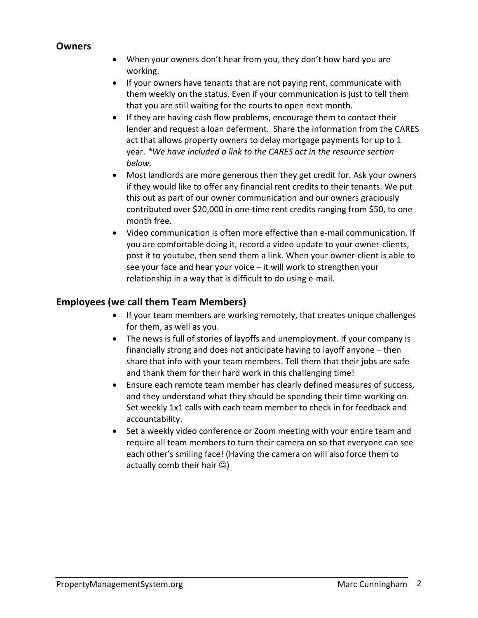#### **Owners**

- When your owners don't hear from you, they don't how hard you are working.
- If your owners have tenants that are not paying rent, communicate with them weekly on the status. Even if your communication is just to tell them that you are still waiting for the courts to open next month.
- If they are having cash flow problems, encourage them to contact their lender and request a loan deferment. Share the information from the CARES act that allows property owners to delay mortgage payments for up to 1 year. *\*We have included a link to the CARES act in the resource section below.*
- Most landlords are more generous then they get credit for. Ask your owners if they would like to offer any financial rent credits to their tenants. We put this out as part of our owner communication and our owners graciously contributed over \$20,000 in one-time rent credits ranging from \$50, to one month free.
- Video communication is often more effective than e-mail communication. If you are comfortable doing it, record a video update to your owner-clients, post it to youtube, then send them a link. When your owner-client is able to see your face and hear your voice – it will work to strengthen your relationship in a way that is difficult to do using e-mail.

#### **Employees (we call them Team Members)**

- If your team members are working remotely, that creates unique challenges for them, as well as you.
- The news is full of stories of layoffs and unemployment. If your company is financially strong and does not anticipate having to layoff anyone – then share that info with your team members. Tell them that their jobs are safe and thank them for their hard work in this challenging time!
- Ensure each remote team member has clearly defined measures of success, and they understand what they should be spending their time working on. Set weekly 1x1 calls with each team member to check in for feedback and accountability.
- Set a weekly video conference or Zoom meeting with your entire team and require all team members to turn their camera on so that everyone can see each other's smiling face! (Having the camera on will also force them to actually comb their hair  $\circledcirc$ )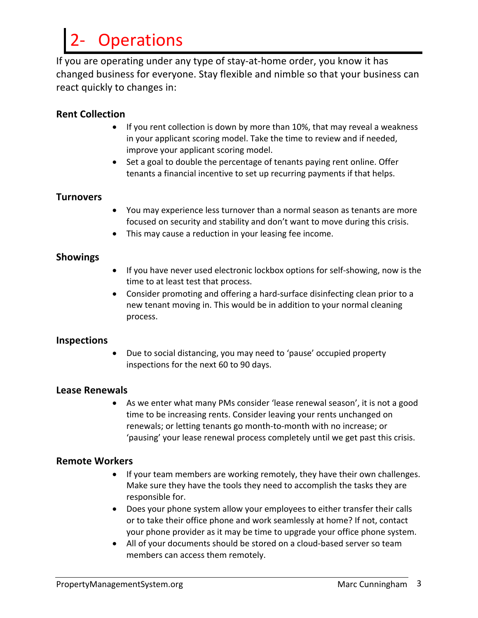# **Operations**

If you are operating under any type of stay-at-home order, you know it has changed business for everyone. Stay flexible and nimble so that your business can react quickly to changes in:

### **Rent Collection**

- If you rent collection is down by more than 10%, that may reveal a weakness in your applicant scoring model. Take the time to review and if needed, improve your applicant scoring model.
- Set a goal to double the percentage of tenants paying rent online. Offer tenants a financial incentive to set up recurring payments if that helps.

#### **Turnovers**

- You may experience less turnover than a normal season as tenants are more focused on security and stability and don't want to move during this crisis.
- This may cause a reduction in your leasing fee income.

### **Showings**

- If you have never used electronic lockbox options for self-showing, now is the time to at least test that process.
- Consider promoting and offering a hard-surface disinfecting clean prior to a new tenant moving in. This would be in addition to your normal cleaning process.

#### **Inspections**

• Due to social distancing, you may need to 'pause' occupied property inspections for the next 60 to 90 days.

#### **Lease Renewals**

• As we enter what many PMs consider 'lease renewal season', it is not a good time to be increasing rents. Consider leaving your rents unchanged on renewals; or letting tenants go month-to-month with no increase; or 'pausing' your lease renewal process completely until we get past this crisis.

#### **Remote Workers**

- If your team members are working remotely, they have their own challenges. Make sure they have the tools they need to accomplish the tasks they are responsible for.
- Does your phone system allow your employees to either transfer their calls or to take their office phone and work seamlessly at home? If not, contact your phone provider as it may be time to upgrade your office phone system.
- All of your documents should be stored on a cloud-based server so team members can access them remotely.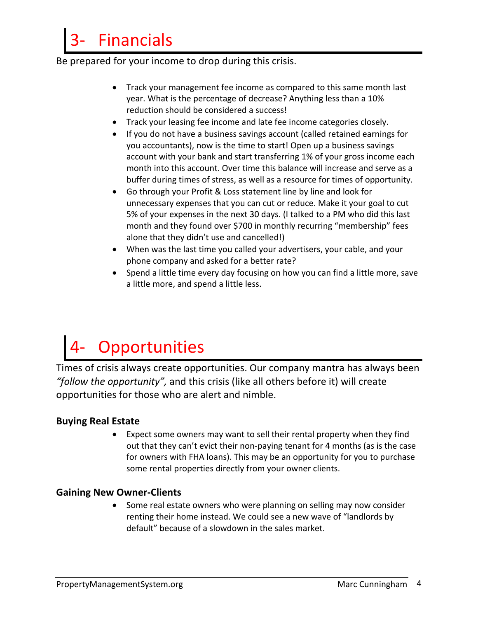# **Financials**

Be prepared for your income to drop during this crisis.

- Track your management fee income as compared to this same month last year. What is the percentage of decrease? Anything less than a 10% reduction should be considered a success!
- Track your leasing fee income and late fee income categories closely.
- If you do not have a business savings account (called retained earnings for you accountants), now is the time to start! Open up a business savings account with your bank and start transferring 1% of your gross income each month into this account. Over time this balance will increase and serve as a buffer during times of stress, as well as a resource for times of opportunity.
- Go through your Profit & Loss statement line by line and look for unnecessary expenses that you can cut or reduce. Make it your goal to cut 5% of your expenses in the next 30 days. (I talked to a PM who did this last month and they found over \$700 in monthly recurring "membership" fees alone that they didn't use and cancelled!)
- When was the last time you called your advertisers, your cable, and your phone company and asked for a better rate?
- Spend a little time every day focusing on how you can find a little more, save a little more, and spend a little less.

# **Opportunities**

Times of crisis always create opportunities. Our company mantra has always been *"follow the opportunity",* and this crisis (like all others before it) will create opportunities for those who are alert and nimble.

## **Buying Real Estate**

• Expect some owners may want to sell their rental property when they find out that they can't evict their non-paying tenant for 4 months (as is the case for owners with FHA loans). This may be an opportunity for you to purchase some rental properties directly from your owner clients.

## **Gaining New Owner-Clients**

• Some real estate owners who were planning on selling may now consider renting their home instead. We could see a new wave of "landlords by default" because of a slowdown in the sales market.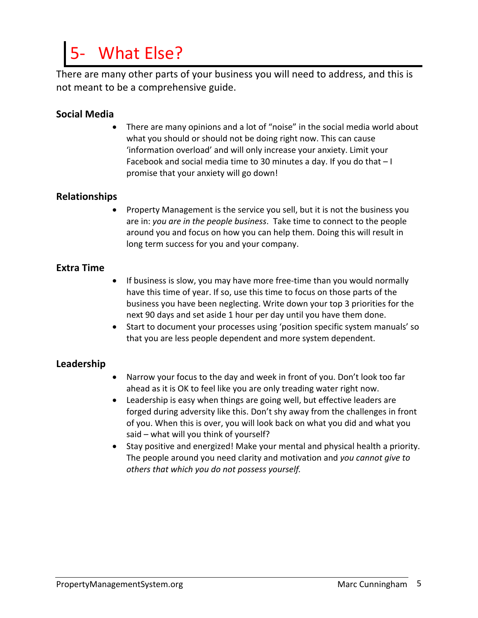# What Else?

There are many other parts of your business you will need to address, and this is not meant to be a comprehensive guide.

## **Social Media**

• There are many opinions and a lot of "noise" in the social media world about what you should or should not be doing right now. This can cause 'information overload' and will only increase your anxiety. Limit your Facebook and social media time to 30 minutes a day. If you do that – I promise that your anxiety will go down!

### **Relationships**

• Property Management is the service you sell, but it is not the business you are in: *you are in the people business*. Take time to connect to the people around you and focus on how you can help them. Doing this will result in long term success for you and your company.

### **Extra Time**

- If business is slow, you may have more free-time than you would normally have this time of year. If so, use this time to focus on those parts of the business you have been neglecting. Write down your top 3 priorities for the next 90 days and set aside 1 hour per day until you have them done.
- Start to document your processes using 'position specific system manuals' so that you are less people dependent and more system dependent.

### **Leadership**

- Narrow your focus to the day and week in front of you. Don't look too far ahead as it is OK to feel like you are only treading water right now.
- Leadership is easy when things are going well, but effective leaders are forged during adversity like this. Don't shy away from the challenges in front of you. When this is over, you will look back on what you did and what you said – what will you think of yourself?
- Stay positive and energized! Make your mental and physical health a priority. The people around you need clarity and motivation and *you cannot give to others that which you do not possess yourself.*